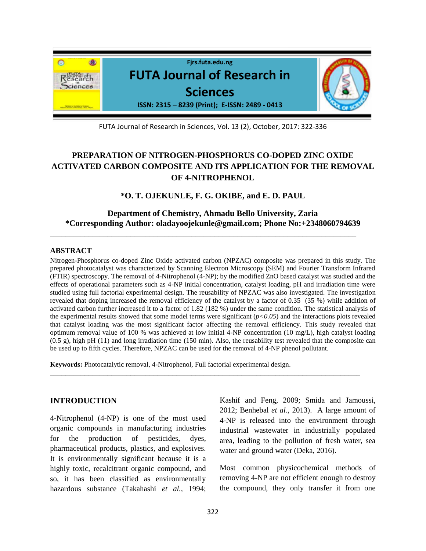

FUTA Journal of Research in Sciences, Vol. 13 (2), October, 2017: 322-336

# **PREPARATION OF NITROGEN-PHOSPHORUS CO-DOPED ZINC OXIDE ACTIVATED CARBON COMPOSITE AND ITS APPLICATION FOR THE REMOVAL OF 4-NITROPHENOL**

**\*O. T. OJEKUNLE, F. G. OKIBE, and E. D. PAUL**

### **Department of Chemistry, Ahmadu Bello University, Zaria \*Corresponding Author: [oladayoojekunle@gmail.com;](mailto:oladayoojekunle@gmail.com) Phone No:+2348060794639**

**\_\_\_\_\_\_\_\_\_\_\_\_\_\_\_\_\_\_\_\_\_\_\_\_\_\_\_\_\_\_\_\_\_\_\_\_\_\_\_\_\_\_\_\_\_\_\_\_\_\_\_\_\_\_\_\_\_\_\_\_\_\_\_\_\_\_\_\_\_\_\_\_\_\_\_\_\_\_\_\_**

#### **ABSTRACT**

Nitrogen-Phosphorus co-doped Zinc Oxide activated carbon (NPZAC) composite was prepared in this study. The prepared photocatalyst was characterized by Scanning Electron Microscopy (SEM) and Fourier Transform Infrared (FTIR) spectroscopy. The removal of 4-Nitrophenol (4-NP); by the modified ZnO based catalyst was studied and the effects of operational parameters such as 4-NP initial concentration, catalyst loading, pH and irradiation time were studied using full factorial experimental design. The reusability of NPZAC was also investigated. The investigation revealed that doping increased the removal efficiency of the catalyst by a factor of 0.35 (35 %) while addition of activated carbon further increased it to a factor of 1.82 (182 %) under the same condition. The statistical analysis of the experimental results showed that some model terms were significant  $(p<0.05)$  and the interactions plots revealed that catalyst loading was the most significant factor affecting the removal efficiency. This study revealed that optimum removal value of 100 % was achieved at low initial 4-NP concentration (10 mg/L), high catalyst loading (0.5 g), high pH (11) and long irradiation time (150 min). Also, the reusability test revealed that the composite can be used up to fifth cycles. Therefore, NPZAC can be used for the removal of 4-NP phenol pollutant.

\_\_\_\_\_\_\_\_\_\_\_\_\_\_\_\_\_\_\_\_\_\_\_\_\_\_\_\_\_\_\_\_\_\_\_\_\_\_\_\_\_\_\_\_\_\_\_\_\_\_\_\_\_\_\_\_\_\_\_\_\_\_\_\_\_\_\_\_\_\_\_\_\_\_\_\_\_\_\_\_\_

**Keywords:** Photocatalytic removal, 4-Nitrophenol, Full factorial experimental design.

#### **INTRODUCTION**

4-Nitrophenol (4-NP) is one of the most used organic compounds in manufacturing industries for the production of pesticides, dyes, pharmaceutical products, plastics, and explosives. It is environmentally significant because it is a highly toxic, recalcitrant organic compound, and so, it has been classified as environmentally hazardous substance (Takahashi *et al.,* 1994;

Kashif and Feng, 2009; Smida and Jamoussi, 2012; Benhebal *et al*., 2013). A large amount of 4-NP is released into the environment through industrial wastewater in industrially populated area, leading to the pollution of fresh water, sea water and ground water (Deka, 2016).

Most common physicochemical methods of removing 4-NP are not efficient enough to destroy the compound, they only transfer it from one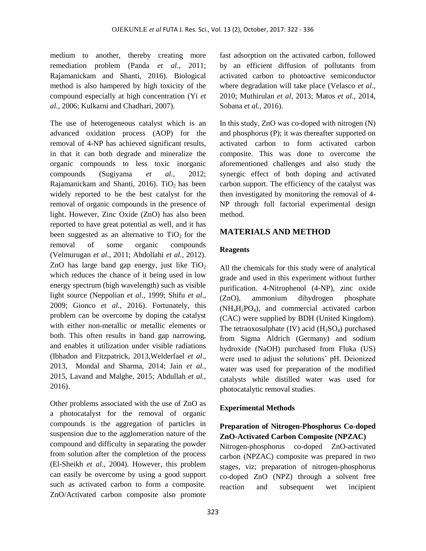medium to another, thereby creating more remediation problem (Panda *et al*., 2011; Rajamanickam and Shanti, 2016). Biological method is also hampered by high toxicity of the compound especially at high concentration (Yi *et al.,* 2006; Kulkarni and Chadhari, 2007).

The use of heterogeneous catalyst which is an advanced oxidation process (AOP) for the removal of 4-NP has achieved significant results, in that it can both degrade and mineralize the organic compounds to less toxic inorganic compounds (Sugiyama *et al.,* 2012; Rajamanickam and Shanti, 2016). Ti $O_2$  has been widely reported to be the best catalyst for the removal of organic compounds in the presence of light. However, Zinc Oxide (ZnO) has also been reported to have great potential as well, and it has been suggested as an alternative to  $TiO<sub>2</sub>$  for the removal of some organic compounds (Velmurugan *et al*., 2011; Abdollahi *et al.,* 2012). ZnO has large band gap energy, just like  $TiO<sub>2</sub>$ which reduces the chance of it being used in low energy spectrum (high wavelength) such as visible light source (Neppolian *et al*., 1999; Shifu *et al*., 2009; Gionco *et al.,* 2016). Fortunately, this problem can be overcome by doping the catalyst with either non-metallic or metallic elements or both. This often results in band gap narrowing, and enables it utilization under visible radiations (Ibhadon and Fitzpatrick, 2013,Welderfael *et al*., 2013, Mondal and Sharma, 2014; Jain *et al.*, 2015, Lavand and Malghe, 2015; Abdullah *et al.,* 2016).

Other problems associated with the use of ZnO as a photocatalyst for the removal of organic compounds is the aggregation of particles in suspension due to the agglomeration nature of the compound and difficulty in separating the powder from solution after the completion of the process (El-Sheikh *et al*., 2004). However, this problem can easily be overcome by using a good support such as activated carbon to form a composite. ZnO/Activated carbon composite also promote

fast adsorption on the activated carbon, followed by an efficient diffusion of pollutants from activated carbon to photoactive semiconductor where degradation will take place (Velasco *et al.,* 2010; Muthirulan *et al,* 2013; Matos *et al*., 2014, Sobana *et al.*, 2016).

In this study, ZnO was co-doped with nitrogen (N) and phosphorus (P); it was thereafter supported on activated carbon to form activated carbon composite. This was done to overcome the aforementioned challenges and also study the synergic effect of both doping and activated carbon support. The efficiency of the catalyst was then investigated by monitoring the removal of 4- NP through full factorial experimental design method.

## **MATERIALS AND METHOD**

#### **Reagents**

All the chemicals for this study were of analytical grade and used in this experiment without further purification. 4-Nitrophenol (4-NP), zinc oxide (ZnO), ammonium dihydrogen phosphate  $(NH_4H_2PO_4)$ , and commercial activated carbon (CAC) were supplied by BDH (United Kingdom). The tetraoxosulphate  $(IV)$  acid  $(H_2SO_4)$  purchased from Sigma Aldrich (Germany) and sodium hydroxide (NaOH) purchased from Fluka (US) were used to adjust the solutions' pH. Deionized water was used for preparation of the modified catalysts while distilled water was used for photocatalytic removal studies.

### **Experimental Methods**

## **Preparation of Nitrogen-Phosphorus Co-doped ZnO-Activated Carbon Composite (NPZAC)**

Nitrogen-phosphorus co-doped ZnO-activated carbon (NPZAC) composite was prepared in two stages, viz; preparation of nitrogen-phosphorus co-doped ZnO (NPZ) through a solvent free reaction and subsequent wet incipient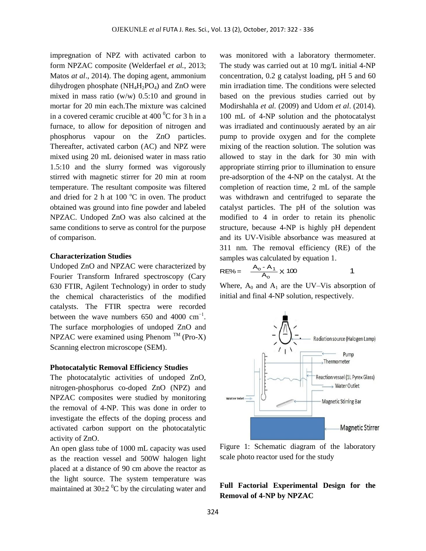impregnation of NPZ with activated carbon to form NPZAC composite (Welderfael *et al.*, 2013; Matos *at al*., 2014). The doping agent, ammonium dihydrogen phosphate  $(NH_4H_2PO_4)$  and ZnO were mixed in mass ratio (w/w) 0.5:10 and ground in mortar for 20 min each.The mixture was calcined in a covered ceramic crucible at  $400<sup>0</sup>C$  for 3 h in a furnace, to allow for deposition of nitrogen and phosphorus vapour on the ZnO particles. Thereafter, activated carbon (AC) and NPZ were mixed using 20 mL deionised water in mass ratio 1.5:10 and the slurry formed was vigorously stirred with magnetic stirrer for 20 min at room temperature. The resultant composite was filtered and dried for 2 h at 100  $^{\circ}$ C in oven. The product obtained was ground into fine powder and labeled NPZAC. Undoped ZnO was also calcined at the same conditions to serve as control for the purpose of comparison.

### **Characterization Studies**

Undoped ZnO and NPZAC were characterized by Fourier Transform Infrared spectroscopy (Cary 630 FTIR, Agilent Technology) in order to study the chemical characteristics of the modified catalysts. The FTIR spectra were recorded between the wave numbers 650 and 4000  $cm^{-1}$ . The surface morphologies of undoped ZnO and NPZAC were examined using Phenom  $^{TM}$  (Pro-X) Scanning electron microscope (SEM).

#### **Photocatalytic Removal Efficiency Studies**

The photocatalytic activities of undoped ZnO, nitrogen-phosphorus co-doped ZnO (NPZ) and NPZAC composites were studied by monitoring the removal of 4-NP. This was done in order to investigate the effects of the doping process and activated carbon support on the photocatalytic activity of ZnO.

An open glass tube of 1000 mL capacity was used as the reaction vessel and 500W halogen light placed at a distance of 90 cm above the reactor as the light source. The system temperature was maintained at  $30\pm2~^0C$  by the circulating water and

was monitored with a laboratory thermometer. The study was carried out at 10 mg/L initial 4-NP concentration, 0.2 g catalyst loading, pH 5 and 60 min irradiation time. The conditions were selected based on the previous studies carried out by Modirshahla *et al.* (2009) and Udom *et al*. (2014). 100 mL of 4-NP solution and the photocatalyst was irradiated and continuously aerated by an air pump to provide oxygen and for the complete mixing of the reaction solution. The solution was allowed to stay in the dark for 30 min with appropriate stirring prior to illumination to ensure pre-adsorption of the 4-NP on the catalyst. At the completion of reaction time, 2 mL of the sample was withdrawn and centrifuged to separate the catalyst particles. The pH of the solution was modified to 4 in order to retain its phenolic structure, because 4-NP is highly pH dependent and its UV-Visible absorbance was measured at 311 nm. The removal efficiency (RE) of the samples was calculated by equation 1.

RE% = 
$$
\frac{A_0 - A_1}{A_0} \times 100
$$
 1

$$
- \times 100
$$

Where,  $A_0$  and  $A_1$  are the UV–Vis absorption of initial and final 4-NP solution, respectively.



Figure 1: Schematic diagram of the laboratory scale photo reactor used for the study

# **Full Factorial Experimental Design for the Removal of 4-NP by NPZAC**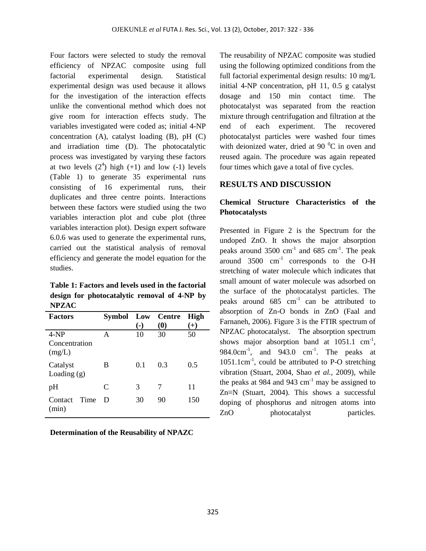Four factors were selected to study the removal efficiency of NPZAC composite using full factorial experimental design. Statistical experimental design was used because it allows for the investigation of the interaction effects unlike the conventional method which does not give room for interaction effects study. The variables investigated were coded as; initial 4-NP concentration (A), catalyst loading (B), pH (C) and irradiation time (D). The photocatalytic process was investigated by varying these factors at two levels  $(2^4)$  high  $(+1)$  and low  $(-1)$  levels (Table 1) to generate 35 experimental runs consisting of 16 experimental runs, their duplicates and three centre points. Interactions between these factors were studied using the two variables interaction plot and cube plot (three variables interaction plot). Design expert software 6.0.6 was used to generate the experimental runs, carried out the statistical analysis of removal efficiency and generate the model equation for the studies.

**Table 1: Factors and levels used in the factorial design for photocatalytic removal of 4-NP by NPZAC**

| <b>Factors</b>                    | Symbol | $(-)$ | Low Centre<br>$\boldsymbol{\left(0\right)}$ | <b>High</b><br>$^{(+)}$ |
|-----------------------------------|--------|-------|---------------------------------------------|-------------------------|
| $4-NP$<br>Concentration<br>(mg/L) | A      | 10    | 30                                          | 50                      |
| Catalyst<br>Loading $(g)$         | B      | 0.1   | 0.3                                         | 0.5                     |
| pH                                | C      | 3     | 7                                           | 11                      |
| Time<br>Contact<br>(min)          | D      | 30    | 90                                          | 150                     |

**Determination of the Reusability of NPAZC**

The reusability of NPZAC composite was studied using the following optimized conditions from the full factorial experimental design results: 10 mg/L initial 4-NP concentration, pH 11, 0.5 g catalyst dosage and 150 min contact time. The photocatalyst was separated from the reaction mixture through centrifugation and filtration at the end of each experiment. The recovered photocatalyst particles were washed four times with deionized water, dried at 90 $\mathrm{^{0}C}$  in oven and reused again. The procedure was again repeated four times which gave a total of five cycles.

### **RESULTS AND DISCUSSION**

# **Chemical Structure Characteristics of the Photocatalysts**

Presented in Figure 2 is the Spectrum for the undoped ZnO. It shows the major absorption peaks around  $3500 \text{ cm}^{-1}$  and  $685 \text{ cm}^{-1}$ . The peak around 3500 cm-1 corresponds to the O-H stretching of water molecule which indicates that small amount of water molecule was adsorbed on the surface of the photocatalyst particles. The peaks around  $685 \text{ cm}^{-1}$  can be attributed to absorption of Zn-O bonds in ZnO (Faal and Farnaneh, 2006). Figure 3 is the FTIR spectrum of NPZAC photocatalyst. The absorption spectrum shows major absorption band at  $1051.1 \text{ cm}^{-1}$ ,  $984.0 \text{cm}^{-1}$ , and  $943.0 \text{cm}^{-1}$ . The peaks at  $1051.1 \text{cm}^{-1}$ , could be attributed to P-O stretching vibration (Stuart, 2004, Shao *et al.,* 2009), while the peaks at 984 and 943  $\text{cm}^{-1}$  may be assigned to Zn≡N (Stuart, 2004). This shows a successful doping of phosphorus and nitrogen atoms into ZnO photocatalyst particles.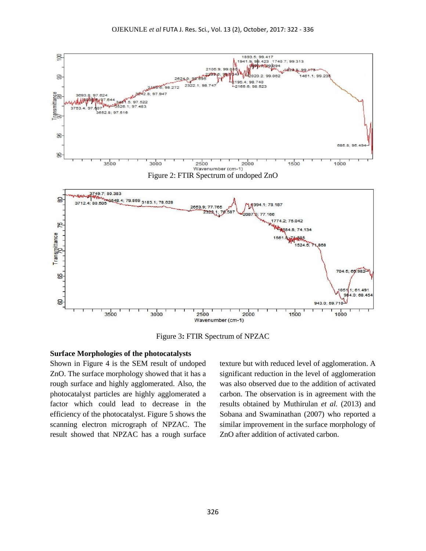

Figure 3**:** FTIR Spectrum of NPZAC

### **Surface Morphologies of the photocatalysts**

Shown in Figure 4 is the SEM result of undoped ZnO. The surface morphology showed that it has a rough surface and highly agglomerated. Also, the photocatalyst particles are highly agglomerated a factor which could lead to decrease in the efficiency of the photocatalyst. Figure 5 shows the scanning electron micrograph of NPZAC. The result showed that NPZAC has a rough surface texture but with reduced level of agglomeration. A significant reduction in the level of agglomeration was also observed due to the addition of activated carbon. The observation is in agreement with the results obtained by Muthirulan *et al.* (2013) and Sobana and Swaminathan (2007) who reported a similar improvement in the surface morphology of ZnO after addition of activated carbon.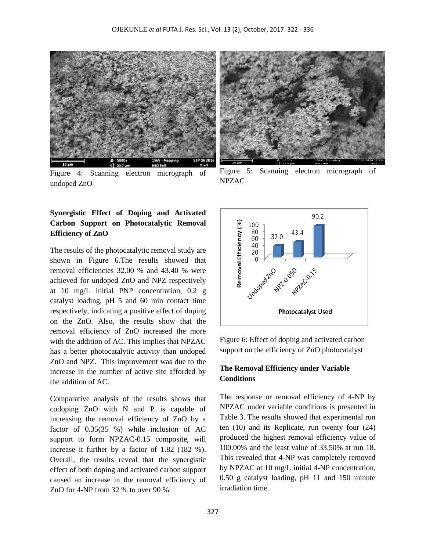

Figure 4: Scanning electron micrograph of undoped ZnO

# **Synergistic Effect of Doping and Activated Carbon Support on Photocatalytic Removal Efficiency of ZnO**

The results of the photocatalytic removal study are shown in Figure 6.The results showed that removal efficiencies 32.00 % and 43.40 % were achieved for undoped ZnO and NPZ respectively at 10 mg/L initial PNP concentration, 0.2 g catalyst loading, pH 5 and 60 min contact time respectively, indicating a positive effect of doping on the ZnO. Also, the results show that the removal efficiency of ZnO increased the more with the addition of AC. This implies that NPZAC has a better photocatalytic activity than undoped ZnO and NPZ. This improvement was due to the increase in the number of active site afforded by the addition of AC.

Comparative analysis of the results shows that codoping ZnO with N and P is capable of increasing the removal efficiency of ZnO by a factor of 0.35(35 %) while inclusion of AC support to form NPZAC-0.15 composite, will increase it further by a factor of 1.82 (182 %). Overall, the results reveal that the synergistic effect of both doping and activated carbon support caused an increase in the removal efficiency of ZnO for 4-NP from 32 % to over 90 %.



Figure 5: Scanning electron micrograph of NPZAC



Figure 6: Effect of doping and activated carbon support on the efficiency of ZnO photocatalyst

### **The Removal Efficiency under Variable Conditions**

The response or removal efficiency of 4-NP by NPZAC under variable conditions is presented in Table 3. The results showed that experimental run ten (10) and its Replicate, run twenty four (24) produced the highest removal efficiency value of 100.00% and the least value of 33.50% at run 18. This revealed that 4-NP was completely removed by NPZAC at 10 mg/L initial 4-NP concentration, 0.50 g catalyst loading, pH 11 and 150 minute irradiation time.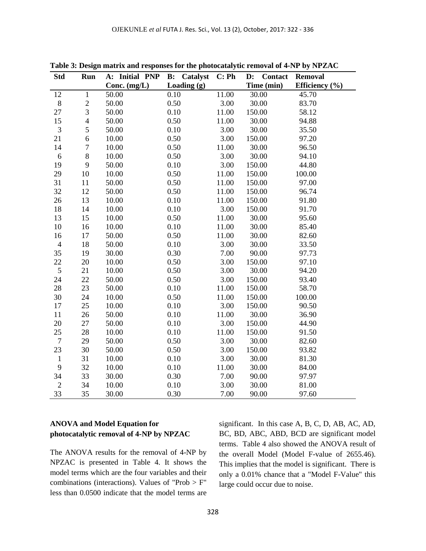| <b>Std</b>       | Run            | A: Initial PNP | Catalyst<br>B: | C: Ph | <b>Contact</b><br>$\mathbf{D}$ : | <b>Removal</b>     |
|------------------|----------------|----------------|----------------|-------|----------------------------------|--------------------|
|                  |                | Conc. $(mg/L)$ | Loading (g)    |       | Time (min)                       | Efficiency $(\% )$ |
| 12               | $\mathbf{1}$   | 50.00          | 0.10           | 11.00 | 30.00                            | 45.70              |
| $8\,$            | $\overline{c}$ | 50.00          | 0.50           | 3.00  | 30.00                            | 83.70              |
| 27               | 3              | 50.00          | 0.10           | 11.00 | 150.00                           | 58.12              |
| 15               | $\overline{4}$ | 50.00          | 0.50           | 11.00 | 30.00                            | 94.88              |
| $\mathfrak{Z}$   | 5              | 50.00          | 0.10           | 3.00  | 30.00                            | 35.50              |
| 21               | 6              | 10.00          | 0.50           | 3.00  | 150.00                           | 97.20              |
| 14               | $\overline{7}$ | 10.00          | 0.50           | 11.00 | 30.00                            | 96.50              |
| 6                | 8              | 10.00          | 0.50           | 3.00  | 30.00                            | 94.10              |
| 19               | 9              | 50.00          | 0.10           | 3.00  | 150.00                           | 44.80              |
| 29               | 10             | 10.00          | 0.50           | 11.00 | 150.00                           | 100.00             |
| 31               | 11             | 50.00          | 0.50           | 11.00 | 150.00                           | 97.00              |
| 32               | 12             | 50.00          | 0.50           | 11.00 | 150.00                           | 96.74              |
| 26               | 13             | 10.00          | 0.10           | 11.00 | 150.00                           | 91.80              |
| 18               | 14             | 10.00          | 0.10           | 3.00  | 150.00                           | 91.70              |
| 13               | 15             | 10.00          | 0.50           | 11.00 | 30.00                            | 95.60              |
| 10               | 16             | 10.00          | 0.10           | 11.00 | 30.00                            | 85.40              |
| 16               | 17             | 50.00          | 0.50           | 11.00 | 30.00                            | 82.60              |
| $\overline{4}$   | 18             | 50.00          | 0.10           | 3.00  | 30.00                            | 33.50              |
| 35               | 19             | 30.00          | 0.30           | 7.00  | 90.00                            | 97.73              |
| 22               | 20             | 10.00          | 0.50           | 3.00  | 150.00                           | 97.10              |
| $\mathfrak s$    | 21             | 10.00          | 0.50           | 3.00  | 30.00                            | 94.20              |
| 24               | 22             | 50.00          | 0.50           | 3.00  | 150.00                           | 93.40              |
| 28               | 23             | 50.00          | 0.10           | 11.00 | 150.00                           | 58.70              |
| 30               | 24             | 10.00          | 0.50           | 11.00 | 150.00                           | 100.00             |
| 17               | 25             | 10.00          | 0.10           | 3.00  | 150.00                           | 90.50              |
| 11               | 26             | 50.00          | 0.10           | 11.00 | 30.00                            | 36.90              |
| 20               | 27             | 50.00          | 0.10           | 3.00  | 150.00                           | 44.90              |
| 25               | 28             | 10.00          | 0.10           | 11.00 | 150.00                           | 91.50              |
| $\boldsymbol{7}$ | 29             | 50.00          | 0.50           | 3.00  | 30.00                            | 82.60              |
| 23               | 30             | 50.00          | 0.50           | 3.00  | 150.00                           | 93.82              |
| $\mathbf{1}$     | 31             | 10.00          | 0.10           | 3.00  | 30.00                            | 81.30              |
| 9                | 32             | 10.00          | 0.10           | 11.00 | 30.00                            | 84.00              |
| 34               | 33             | 30.00          | 0.30           | 7.00  | 90.00                            | 97.97              |
| $\mathbf{2}$     | 34             | 10.00          | 0.10           | 3.00  | 30.00                            | 81.00              |
| 33               | 35             | 30.00          | 0.30           | 7.00  | 90.00                            | 97.60              |

**Table 3: Design matrix and responses for the photocatalytic removal of 4-NP by NPZAC**

# **ANOVA and Model Equation for photocatalytic removal of 4-NP by NPZAC**

The ANOVA results for the removal of 4-NP by NPZAC is presented in Table 4. It shows the model terms which are the four variables and their combinations (interactions). Values of "Prob  $> F$ " less than 0.0500 indicate that the model terms are significant. In this case A, B, C, D, AB, AC, AD, BC, BD, ABC, ABD, BCD are significant model terms. Table 4 also showed the ANOVA result of the overall Model (Model F-value of 2655.46). This implies that the model is significant. There is only a 0.01% chance that a "Model F-Value" this large could occur due to noise.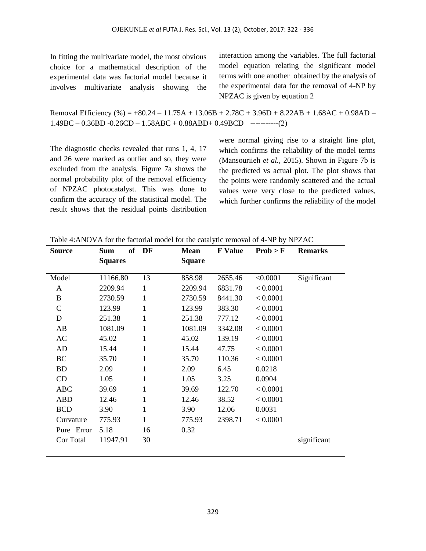In fitting the multivariate model, the most obvious choice for a mathematical description of the experimental data was factorial model because it involves multivariate analysis showing the interaction among the variables. The full factorial model equation relating the significant model terms with one another obtained by the analysis of the experimental data for the removal of 4-NP by NPZAC is given by equation 2

Removal Efficiency (%) =  $+80.24 - 11.75A + 13.06B + 2.78C + 3.96D + 8.22AB + 1.68AC + 0.98AD 1.49BC - 0.36BD - 0.26CD - 1.58ABC + 0.88ABD + 0.49BCD$  ----------(2)

The diagnostic checks revealed that runs 1, 4, 17 and 26 were marked as outlier and so, they were excluded from the analysis. Figure 7a shows the normal probability plot of the removal efficiency of NPZAC photocatalyst. This was done to confirm the accuracy of the statistical model. The result shows that the residual points distribution were normal giving rise to a straight line plot, which confirms the reliability of the model terms (Mansouriieh *et al.,* 2015). Shown in Figure 7b is the predicted vs actual plot. The plot shows that the points were randomly scattered and the actual values were very close to the predicted values, which further confirms the reliability of the model

| <b>Source</b> | <b>Sum</b><br><b>Squares</b> | of DF        | <b>Mean</b><br><b>Square</b> | <b>F</b> Value | Prob > F | <b>Remarks</b> |
|---------------|------------------------------|--------------|------------------------------|----------------|----------|----------------|
|               |                              |              |                              |                |          |                |
| Model         | 11166.80                     | 13           | 858.98                       | 2655.46        | < 0.0001 | Significant    |
| A             | 2209.94                      | 1            | 2209.94                      | 6831.78        | < 0.0001 |                |
| B             | 2730.59                      | 1            | 2730.59                      | 8441.30        | < 0.0001 |                |
| C             | 123.99                       | 1            | 123.99                       | 383.30         | < 0.0001 |                |
| D             | 251.38                       | 1            | 251.38                       | 777.12         | < 0.0001 |                |
| AB            | 1081.09                      | 1            | 1081.09                      | 3342.08        | < 0.0001 |                |
| AC            | 45.02                        | 1            | 45.02                        | 139.19         | < 0.0001 |                |
| AD            | 15.44                        | 1            | 15.44                        | 47.75          | < 0.0001 |                |
| BC            | 35.70                        | 1            | 35.70                        | 110.36         | < 0.0001 |                |
| <b>BD</b>     | 2.09                         | 1            | 2.09                         | 6.45           | 0.0218   |                |
| CD            | 1.05                         | 1            | 1.05                         | 3.25           | 0.0904   |                |
| <b>ABC</b>    | 39.69                        | $\mathbf{1}$ | 39.69                        | 122.70         | < 0.0001 |                |
| <b>ABD</b>    | 12.46                        | 1            | 12.46                        | 38.52          | < 0.0001 |                |
| <b>BCD</b>    | 3.90                         | 1            | 3.90                         | 12.06          | 0.0031   |                |
| Curvature     | 775.93                       | $\mathbf{1}$ | 775.93                       | 2398.71        | < 0.0001 |                |
| Pure Error    | 5.18                         | 16           | 0.32                         |                |          |                |
| Cor Total     | 11947.91                     | 30           |                              |                |          | significant    |

Table 4:ANOVA for the factorial model for the catalytic removal of 4-NP by NPZAC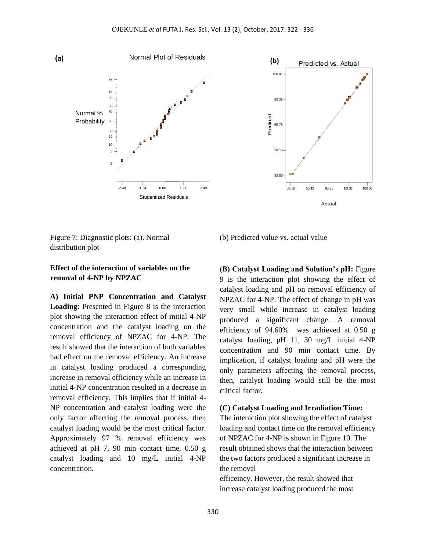



Figure 7: Diagnostic plots: (a). Normal distribution plot

### **Effect of the interaction of variables on the removal of 4-NP by NPZAC**

**A) Initial PNP Concentration and Catalyst Loading**: Presented in Figure 8 is the interaction plot showing the interaction effect of initial 4-NP concentration and the catalyst loading on the removal efficiency of NPZAC for 4-NP. The result showed that the interaction of both variables had effect on the removal efficiency. An increase in catalyst loading produced a corresponding increase in removal efficiency while an increase in initial 4-NP concentration resulted in a decrease in removal efficiency. This implies that if initial 4- NP concentration and catalyst loading were the only factor affecting the removal process, then catalyst loading would be the most critical factor. Approximately 97 % removal efficiency was achieved at pH 7, 90 min contact time, 0.50 g catalyst loading and 10 mg/L initial 4-NP concentration.

(b) Predicted value vs. actual value

**(B) Catalyst Loading and Solution's pH:** Figure 9 is the interaction plot showing the effect of catalyst loading and pH on removal efficiency of NPZAC for 4-NP. The effect of change in pH was very small while increase in catalyst loading produced a significant change. A removal efficiency of 94.60% was achieved at 0.50 g catalyst loading, pH 11, 30 mg/L initial 4-NP concentration and 90 min contact time. By implication, if catalyst loading and pH were the only parameters affecting the removal process, then, catalyst loading would still be the most critical factor.

#### **(C) Catalyst Loading and Irradiation Time:**

The interaction plot showing the effect of catalyst loading and contact time on the removal efficiency of NPZAC for 4-NP is shown in Figure 10. The result obtained shows that the interaction between the two factors produced a significant increase in the removal

efficeincy. However, the result showed that increase catalyst loading produced the most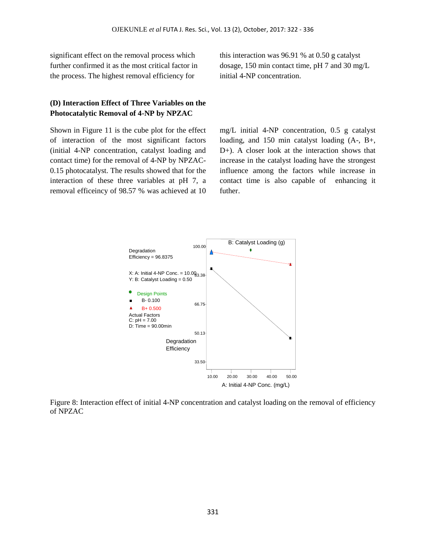significant effect on the removal process which further confirmed it as the most critical factor in the process. The highest removal efficiency for

## **(D) Interaction Effect of Three Variables on the Photocatalytic Removal of 4-NP by NPZAC**

Shown in Figure 11 is the cube plot for the effect of interaction of the most significant factors (initial 4-NP concentration, catalyst loading and contact time) for the removal of 4-NP by NPZAC-0.15 photocatalyst. The results showed that for the interaction of these three variables at pH 7, a removal efficeincy of 98.57 % was achieved at 10

this interaction was 96.91 % at 0.50 g catalyst dosage, 150 min contact time, pH 7 and 30 mg/L initial 4-NP concentration.

mg/L initial 4-NP concentration, 0.5 g catalyst loading, and 150 min catalyst loading (A-, B+, D+). A closer look at the interaction shows that increase in the catalyst loading have the strongest influence among the factors while increase in contact time is also capable of enhancing it futher.



Figure 8: Interaction effect of initial 4-NP concentration and catalyst loading on the removal of efficiency of NPZAC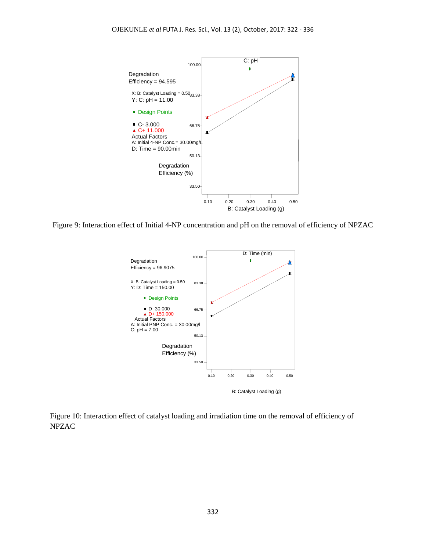

Figure 9: Interaction effect of Initial 4-NP concentration and pH on the removal of efficiency of NPZAC



Figure 10: Interaction effect of catalyst loading and irradiation time on the removal of efficiency of NPZAC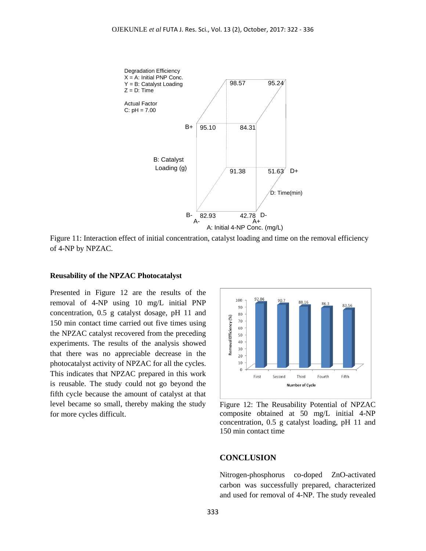

Figure 11: Interaction effect of initial concentration, catalyst loading and time on the removal efficiency of 4-NP by NPZAC.

#### **Reusability of the NPZAC Photocatalyst**

Presented in Figure 12 are the results of the removal of 4-NP using 10 mg/L initial PNP concentration, 0.5 g catalyst dosage, pH 11 and 150 min contact time carried out five times using the NPZAC catalyst recovered from the preceding experiments. The results of the analysis showed that there was no appreciable decrease in the photocatalyst activity of NPZAC for all the cycles. This indicates that NPZAC prepared in this work is reusable. The study could not go beyond the fifth cycle because the amount of catalyst at that level became so small, thereby making the study for more cycles difficult.



Figure 12: The Reusability Potential of NPZAC composite obtained at 50 mg/L initial 4-NP concentration, 0.5 g catalyst loading, pH 11 and 150 min contact time

#### **CONCLUSION**

Nitrogen-phosphorus co-doped ZnO-activated carbon was successfully prepared, characterized and used for removal of 4-NP. The study revealed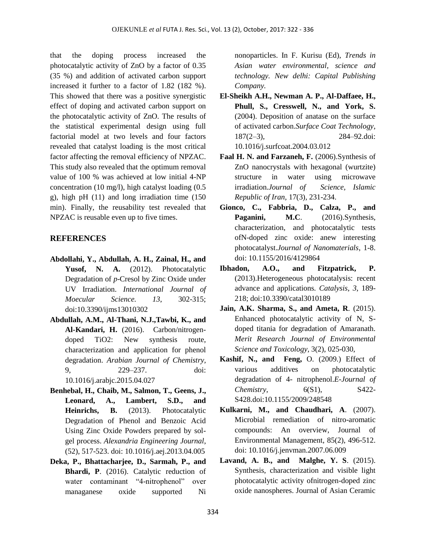that the doping process increased the photocatalytic activity of ZnO by a factor of 0.35 (35 %) and addition of activated carbon support increased it further to a factor of 1.82 (182 %). This showed that there was a positive synergistic effect of doping and activated carbon support on the photocatalytic activity of ZnO. The results of the statistical experimental design using full factorial model at two levels and four factors revealed that catalyst loading is the most critical factor affecting the removal efficiency of NPZAC. This study also revealed that the optimum removal value of 100 % was achieved at low initial 4-NP concentration (10 mg/l), high catalyst loading (0.5 g), high pH (11) and long irradiation time (150 min). Finally, the reusability test revealed that NPZAC is reusable even up to five times.

### **REFERENCES**

- **Abdollahi, Y., Abdullah, A. H., Zainal, H., and**  Yusof, N. A. (2012). Photocatalytic Degradation of *p*-Cresol by Zinc Oxide under UV Irradiation. *International Journal of Moecular Science. 13*, 302-315; doi:10.3390/ijms13010302
- **Abdullah, A.M., Al-Thani, N.J.,Tawbi, K., and Al-Kandari, H.** (2016). Carbon/nitrogendoped TiO2: New synthesis route, characterization and application for phenol degradation. *Arabian Journal of Chemistry,* 9, 229–237. doi: 10.1016/j.arabjc.2015.04.027
- **Benhebal, H., Chaib, M., Salmon, T., Geens, J., Leonard, A., Lambert, S.D., and Heinrichs, B.** (2013). Photocatalytic Degradation of Phenol and Benzoic Acid Using Zinc Oxide Powders prepared by solgel process. *Alexandria Engineering Journal*, (52), 517-523. doi: 10.1016/j.aej.2013.04.005
- **Deka, P., Bhattacharjee, D., Sarmah, P., and Bhardi, P**. (2016). Catalytic reduction of water contaminant "4-nitrophenol" over managanese oxide supported Ni

nonoparticles. In F. Kurisu (Ed), *Trends in Asian water environmental, science and technology. New delhi: Capital Publishing Company.*

- **El-Sheikh A.H., Newman A. P., Al-Daffaee, H., Phull, S., Cresswell, N., and York, S.** (2004). Deposition of anatase on the surface of activated carbon.*Surface Coat Technology*, 187(2–3), 284–92.doi: [10.1016/j.surfcoat.2004.03.012](http://dx.doi.org/10.1016/j.surfcoat.2004.03.012)
- **Faal H. N. and Farzaneh, F.** (2006).Synthesis of ZnO nanocrystals with hexagonal (wurtzite) structure in water using microwave irradiation.*Journal of Science, Islamic Republic of Iran,* 17(3), 231-234.
- **Gionco, C., Fabbria, D., Calza, P., and**  Paganini, M.C. (2016).Synthesis, characterization, and photocatalytic tests ofN-doped zinc oxide: anew interesting photocatalyst.*Journal of Nanomaterials*, 1-8. doi: 10.1155/2016/4129864
- **Ibhadon, A.O., and Fitzpatrick, P.** (2013).Heterogeneous photocatalysis: recent advance and applications*. Catalysis*, *3*, 189- 218; doi:10.3390/catal3010189
- **Jain, A.K. Sharma, S., and Ameta, R**. (2015). Enhanced photocatalytic activity of N, Sdoped titania for degradation of Amaranath. *Merit Research Journal of Environmental Science and Toxicology,* 3(2), 025-030,
- **Kashif, N., and Feng,** O. (2009.) Effect of various additives on photocatalytic degradation of 4- nitrophenol.*E-Journal of Chemistry*, 6(S1), S422- S428.doi[:10.1155/2009/248548](http://dx.doi.org/10.1155/2009/248548)
- **Kulkarni, M., and Chaudhari, A**. (2007). Microbial remediation of nitro-aromatic compounds: An overview, Journal of Environmental Management, 85(2), 496-512. doi: [10.1016/j.jenvman.2007.06.009](http://dx.doi.org/10.1016/j.jenvman.2007.06.009)
- **Lavand, A. B., and Malghe, Y. S**. (2015). Synthesis, characterization and visible light photocatalytic activity ofnitrogen-doped zinc oxide nanospheres. Journal of Asian Ceramic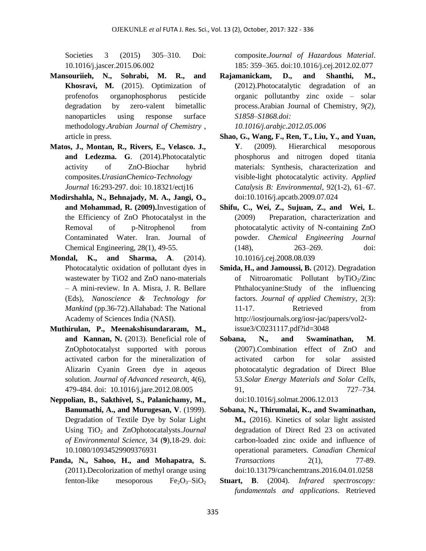Societies 3 (2015) 305–310. Doi: 10.1016/j.jascer.2015.06.002

- **Mansouriieh, N., Sohrabi, M. R., and Khosravi, M.** (2015). Optimization of profenofos organophosphorus pesticide degradation by zero-valent bimetallic nanoparticles using response surface methodology.*Arabian Journal of Chemistry* , article in press.
- **Matos, J., Montan, R., Rivers, E., Velasco. J., and Ledezma. G**. (2014).Photocatalytic activity of ZnO-Biochar hybrid composites.*UrasianChemico-Technology Journal* 16:293-297. doi: 10.18321/ectj16
- **Modirshahla, N., Behnajady, M. A., Jangi, O., and Mohammad, R. (2009).**Investigation of the Efficiency of ZnO Photocatalyst in the Removal of p-Nitrophenol from Contaminated Water. Iran. Journal of Chemical Engineering, 28(1), 49-55.
- **Mondal, K., and Sharma, A**. (2014). Photocatalytic oxidation of pollutant dyes in wastewater by TiO2 and ZnO nano-materials – A mini-review. In A. Misra, J. R. Bellare (Eds), *Nanoscience & Technology for Mankind* (pp.36-72)[.Allahabad:](https://en.wikipedia.org/wiki/Allahabad) The National Academy of Sciences India (NASI).
- **Muthirulan, P., Meenakshisundararam, M., and Kannan, N.** (2013). Beneficial role of ZnOphotocatalyst supported with porous activated carbon for the mineralization of Alizarin Cyanin Green dye in aqeous solution. *Journal of Advanced research*, 4(6), 479-484. doi: [10.1016/j.jare.2012.08.005](https://dx.doi.org/10.1016%2Fj.jare.2012.08.005)
- **Neppolian, B., Sakthivel, S., Palanichamy, M., Banumathi, A., and Murugesan, V**. (1999). Degradation of Textile Dye by Solar Light Using TiO<sub>2</sub> and ZnOphotocatalysts.*Journal of Environmental Science*, 34 (**9**),18-29. doi: [10.1080/10934529909376931](http://dx.doi.org/10.1080/10934529909376931)
- **Panda, N., Sahoo, H., and Mohapatra, S.** (2011).Decolorization of methyl orange using fenton-like mesoporous  $Fe<sub>2</sub>O<sub>3</sub>$ -SiO<sub>2</sub>

composite.*Journal of Hazardous Material*. 185: 359–365. doi:10.1016/j.cej.2012.02.077

- **Rajamanickam, D., and Shanthi, M.,** (2012).Photocatalytic degradation of an organic pollutantby zinc oxide – solar process.Arabian Journal of Chemistry*, 9(2), S1858–S1868.doi: [10.1016/j.arabjc.2012.05.006](http://dx.doi.org/10.1016/j.arabjc.2012.05.006)*
- **Shao, G., Wang, F., Ren, T., Liu, Y., and Yuan, Y**. (2009). Hierarchical mesoporous phosphorus and nitrogen doped titania materials: Synthesis, characterization and visible-light photocatalytic activity. *Applied Catalysis B: Environmental*, 92(1-2), 61–67. doi:10.1016/j.apcatb.2009.07.024
- **Shifu, C., Wei, Z., Sujuan, Z., and Wei, L**. (2009) Preparation, characterization and photocatalytic activity of N-containing ZnO powder. *Chemical Engineering Journal* (148), 263–269. doi: [10.1016/j.cej.2008.08.039](http://dx.doi.org/10.1016/j.cej.2008.08.039)
- **Smida, H., and Jamoussi, B.** (2012). Degradation of Nitroaromatic Pollutant by $TiO<sub>2</sub>/Zinc$ Phthalocyanine:Study of the influencing factors. *Journal of applied Chemistry*, 2(3): 11-17. Retrieved from http://iosrjournals.org/iosr-jac/papers/vol2 issue3/C0231117.pdf?id=3048
- **Sobana, N., and Swaminathan, M**. (2007).Combination effect of ZnO and activated carbon for solar assisted photocatalytic degradation of Direct Blue 53.*Solar Energy Materials and Solar Cells,*  91, 727–734.

```
doi:10.1016/j.solmat.2006.12.013
```
- **Sobana, N., Thirumalai, K., and Swaminathan, M.,** (2016). Kinetics of solar light assisted degradation of Direct Red 23 on activated carbon-loaded zinc oxide and influence of operational parameters. *Canadian Chemical Transactions* 2(1), 77-89. doi:10.13179/canchemtrans.2016.04.01.0258
- **Stuart, B**. (2004). *Infrared spectroscopy: fundamentals and applications*. Retrieved